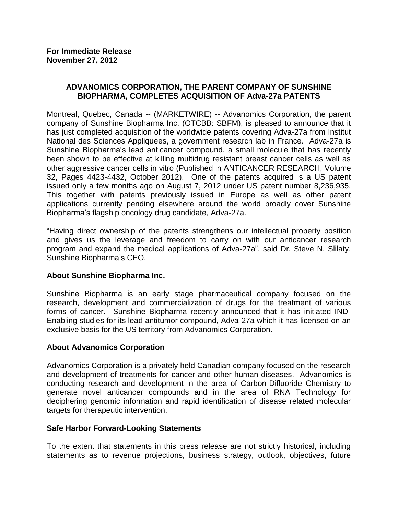# **ADVANOMICS CORPORATION, THE PARENT COMPANY OF SUNSHINE BIOPHARMA, COMPLETES ACQUISITION OF Adva-27a PATENTS**

Montreal, Quebec, Canada -- (MARKETWIRE) -- Advanomics Corporation, the parent company of Sunshine Biopharma Inc. (OTCBB: SBFM), is pleased to announce that it has just completed acquisition of the worldwide patents covering Adva-27a from Institut National des Sciences Appliquees, a government research lab in France. Adva-27a is Sunshine Biopharma's lead anticancer compound, a small molecule that has recently been shown to be effective at killing multidrug resistant breast cancer cells as well as other aggressive cancer cells in vitro (Published in ANTICANCER RESEARCH, Volume 32, Pages 4423-4432, October 2012). One of the patents acquired is a US patent issued only a few months ago on August 7, 2012 under US patent number 8,236,935. This together with patents previously issued in Europe as well as other patent applications currently pending elsewhere around the world broadly cover Sunshine Biopharma's flagship oncology drug candidate, Adva-27a.

"Having direct ownership of the patents strengthens our intellectual property position and gives us the leverage and freedom to carry on with our anticancer research program and expand the medical applications of Adva-27a", said Dr. Steve N. Slilaty, Sunshine Biopharma's CEO.

## **About Sunshine Biopharma Inc.**

Sunshine Biopharma is an early stage pharmaceutical company focused on the research, development and commercialization of drugs for the treatment of various forms of cancer. Sunshine Biopharma recently announced that it has initiated IND-Enabling studies for its lead antitumor compound, Adva-27a which it has licensed on an exclusive basis for the US territory from Advanomics Corporation.

## **About Advanomics Corporation**

Advanomics Corporation is a privately held Canadian company focused on the research and development of treatments for cancer and other human diseases. Advanomics is conducting research and development in the area of Carbon-Difluoride Chemistry to generate novel anticancer compounds and in the area of RNA Technology for deciphering genomic information and rapid identification of disease related molecular targets for therapeutic intervention.

## **Safe Harbor Forward-Looking Statements**

To the extent that statements in this press release are not strictly historical, including statements as to revenue projections, business strategy, outlook, objectives, future